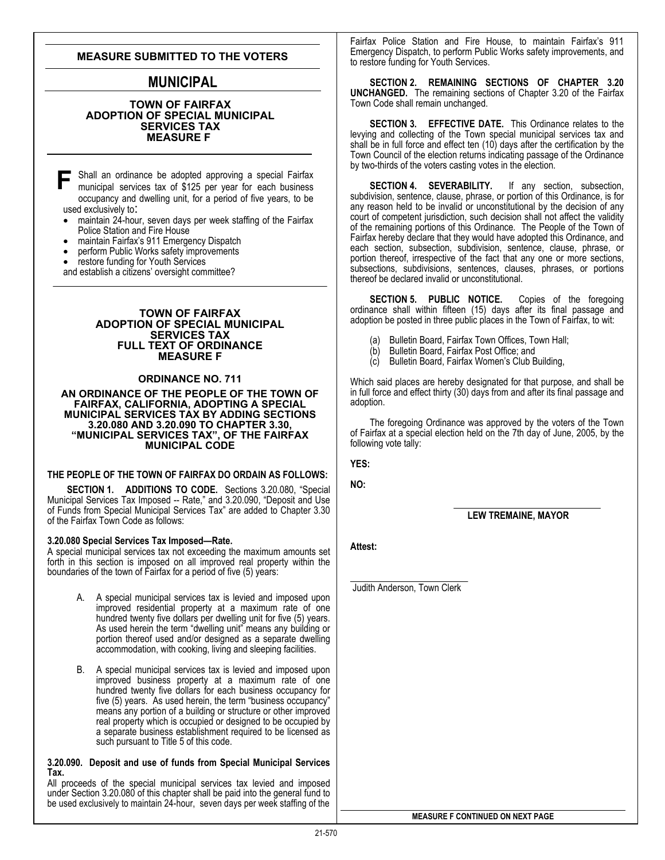# **MEASURE SUBMITTED TO THE VOTERS**

# **MUNICIPAL**

#### **TOWN OF FAIRFAX ADOPTION OF SPECIAL MUNICIPAL SERVICES TAX MEASURE F**

**F** Shall an ordinance be adopted approving a special Fairfax<br>municipal services tax of \$125 per year for each business municipal services tax of \$125 per year for each business occupanc y and dwelling unit, for a period of five years, to be used exclusively to:

- maintain 24-hour, seven days per week staffing of the Fairfax Police Station and Fire House<br>maintain Fairfax's 911 Emergency Dispatch
- 
- perform Public Works safety improvements
- restore funding for Youth Services

and establish a citizens' oversight committee?

#### **TOWN OF FAIRFAX ADOPTION OF SPECIAL MUNICIPAL SERVICES TAX FULL TEXT OF ORDINANCE MEASURE F**

## **ORDINANCE NO. 711**

#### **AN ORDINANCE OF THE PEOPLE OF THE TOWN OF FAIRFAX, CALIFORNIA, ADOPTING A SPECIAL MUNICIPAL SERVICES TAX BY ADDING SECTIONS 3.20.080 AND 3.20.090 TO CHAPTER 3.30, "MUNICIPAL SERVICES TAX", OF THE FAIRFAX MUNICIPAL CODE**

#### **THE PEOPLE OF THE TOWN OF FAIRFAX DO ORDAIN AS FOLLOWS:**

**SECTION 1. ADDITIONS TO CODE.** Sections 3.20.080, "Special Municipal Services Tax Imposed -- Rate," and 3.20.090, "Deposit and Use of Funds from Special Municipal Services Tax" are added to Chapter 3.30 of the Fairfax Town Code as follows:

#### **3.20.080 Special Services Tax Imposed—Rate.**

A special municipal services tax not exceeding the maximum amounts set forth in this section is imposed on all improved real property within the boundaries of the town of Fairfax for a period of five (5) years:

- A. A special municipal services tax is levied and imposed upon improved residential property at a maximum rate of one hundred twenty five dollars per dwelling unit for five (5) years. As used herein the term "dwelling unit" means any building or portion thereof used and/or designed as a separate dwelling accommodation, with cooking, living and sleeping facilities.
- B. A special municipal services tax is levied and imposed upon improved business property at a maximum rate of one hundred twenty five dollars for each business occupancy for five (5) years. As used herein, the term "business occupancy" means any portion of a building or structure or other improved real property which is occupied or designed to be occupied by a separate business establishment required to be licensed as such pursuant to Title 5 of this code.

#### **3.20.090. Deposit and use of funds from Special Municipal Services Tax.**

All proceeds of the special municipal services tax levied and imposed under Section 3.20.080 of this chapter shall be paid into the general fund to be used exclusively to maintain 24-hour, seven days per week staffing of the Fairfax Police Station and Fire House, to maintain Fairfax's 911 Emergency Dispatch, to perform Public Works safety improvements, and to restore funding for Youth Services.

**SECTION 2. REMAINING SECTIONS OF CHAPTER 3.20 UNCHANGED.** The remaining sections of Chapter 3.20 of the Fairfax Town Code shall remain unchanged.

**SECTION 3. EFFECTIVE DATE.** This Ordinance relates to the levying and collecting of the Town special municipal services tax and shall be in full force and effect ten (10) days after the certification by the Town Council of the election returns indicating passage of the Ordinance by two-thirds of the voters casting votes in the election.

**SECTION 4. SEVERABILITY.** If any section, subsection, subdivision, sentence, clause, phrase, or portion of this Ordinance, is for any reason held to be invalid or unconstitutional by the decision of any court of competent jurisdiction, such decision shall not affect the validity of the remaining portions of this Ordinance. The People of the Town of Fairfax hereby declare that they would have adopted this Ordinance, and each section, subsection, subdivision, sentence, clause, phrase, or portion thereof, irrespective of the fact that any one or more sections, subsections, subdivisions, sentences, clauses, phrases, or portions thereof be declared invalid or unconstitutional.

**SECTION 5. PUBLIC NOTICE.** Copies of the foregoing ordinance shall within fifteen (15) days after its final passage and adoption be posted in three public places in the Town of Fairfax, to wit:

- 
- (a) Bulletin Board, Fairfax Town Offices, Town Hall; Bulletin Board, Fairfax Post Office; and
- (c) Bulletin Board, Fairfax Women's Club Building,

Which said places are hereby designated for that purpose, and shall be in full force and effect thirty (30) days from and after its final passage and adoption.

 The foregoing Ordinance was approved by the voters of the Town of Fairfax at a special election held on the 7th day of June, 2005, by the following vote tally:

**YES:** 

**NO:** 

**LEW TREMAINE, MAYOR** 

**Attest:** 

Judith Anderson, Town Clerk

**MEASURE F CONTINUED ON NEXT PAGE**